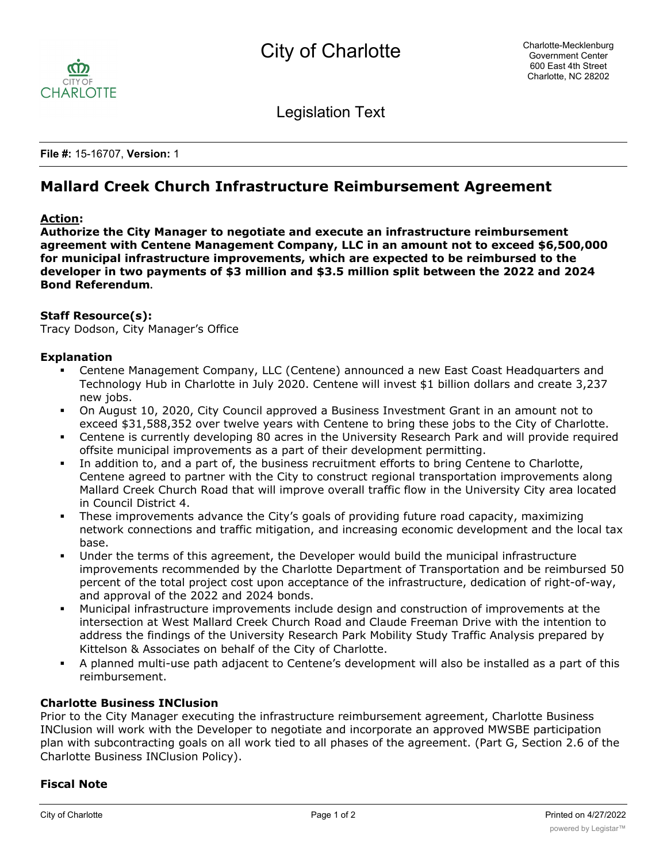

Legislation Text

**File #:** 15-16707, **Version:** 1

# **Mallard Creek Church Infrastructure Reimbursement Agreement**

# **Action:**

**Authorize the City Manager to negotiate and execute an infrastructure reimbursement agreement with Centene Management Company, LLC in an amount not to exceed \$6,500,000 for municipal infrastructure improvements, which are expected to be reimbursed to the developer in two payments of \$3 million and \$3.5 million split between the 2022 and 2024 Bond Referendum.**

# **Staff Resource(s):**

Tracy Dodson, City Manager's Office

#### **Explanation**

- § Centene Management Company, LLC (Centene) announced a new East Coast Headquarters and Technology Hub in Charlotte in July 2020. Centene will invest \$1 billion dollars and create 3,237 new jobs.
- § On August 10, 2020, City Council approved a Business Investment Grant in an amount not to exceed \$31,588,352 over twelve years with Centene to bring these jobs to the City of Charlotte.
- Centene is currently developing 80 acres in the University Research Park and will provide required offsite municipal improvements as a part of their development permitting.
- In addition to, and a part of, the business recruitment efforts to bring Centene to Charlotte, Centene agreed to partner with the City to construct regional transportation improvements along Mallard Creek Church Road that will improve overall traffic flow in the University City area located in Council District 4.
- These improvements advance the City's goals of providing future road capacity, maximizing network connections and traffic mitigation, and increasing economic development and the local tax base.
- Under the terms of this agreement, the Developer would build the municipal infrastructure improvements recommended by the Charlotte Department of Transportation and be reimbursed 50 percent of the total project cost upon acceptance of the infrastructure, dedication of right-of-way, and approval of the 2022 and 2024 bonds.
- § Municipal infrastructure improvements include design and construction of improvements at the intersection at West Mallard Creek Church Road and Claude Freeman Drive with the intention to address the findings of the University Research Park Mobility Study Traffic Analysis prepared by Kittelson & Associates on behalf of the City of Charlotte.
- § A planned multi-use path adjacent to Centene's development will also be installed as a part of this reimbursement.

# **Charlotte Business INClusion**

Prior to the City Manager executing the infrastructure reimbursement agreement, Charlotte Business INClusion will work with the Developer to negotiate and incorporate an approved MWSBE participation plan with subcontracting goals on all work tied to all phases of the agreement. (Part G, Section 2.6 of the Charlotte Business INClusion Policy).

# **Fiscal Note**